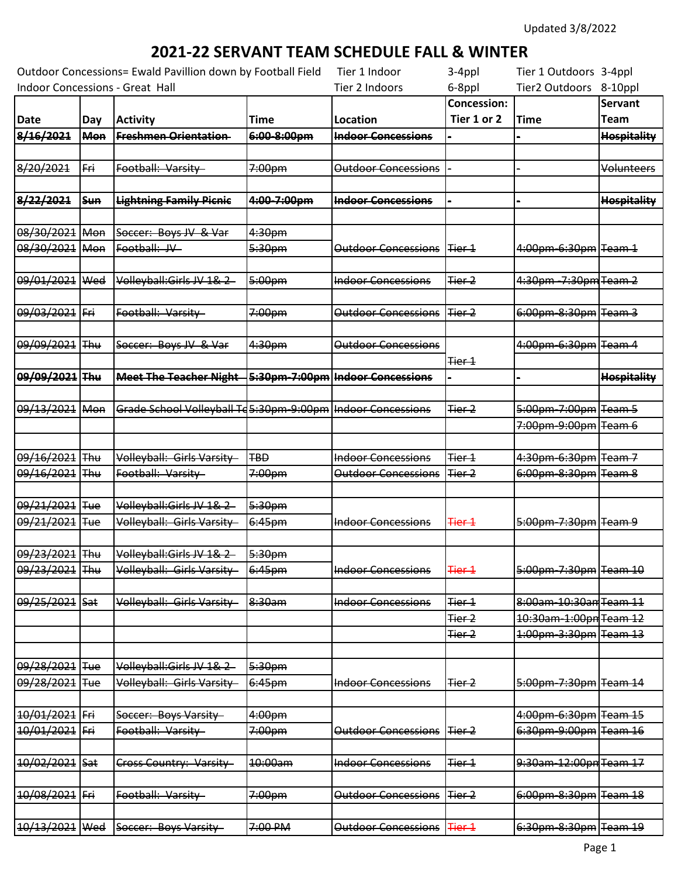| Outdoor Concessions= Ewald Pavillion down by Football Field |            |                                                              |                    | Tier 1 Indoor                    | 3-4ppl             | Tier 1 Outdoors 3-4ppl           |                    |
|-------------------------------------------------------------|------------|--------------------------------------------------------------|--------------------|----------------------------------|--------------------|----------------------------------|--------------------|
| Indoor Concessions - Great Hall                             |            |                                                              | Tier 2 Indoors     | 6-8ppl                           | Tier2 Outdoors     | 8-10ppl                          |                    |
|                                                             |            |                                                              |                    |                                  | <b>Concession:</b> |                                  | <b>Servant</b>     |
| <b>Date</b>                                                 | Day        | <b>Activity</b>                                              | <b>Time</b>        | Location                         | Tier 1 or 2        | <b>Time</b>                      | <b>Team</b>        |
| 8/16/2021                                                   | <b>Mon</b> | <b>Freshmen Orientation</b>                                  | 6:00-8:00pm        | <b>Indoor Concessions</b>        |                    |                                  | <b>Hospitality</b> |
|                                                             |            |                                                              |                    |                                  |                    |                                  |                    |
| 8/20/2021                                                   | Fri        | Football: Varsity                                            | 7:00pm             | <b>Outdoor Concessions</b>       |                    |                                  | Volunteers         |
|                                                             |            |                                                              |                    |                                  |                    |                                  |                    |
| 8/22/2021                                                   | Sun        | <b>Lightning Family Picnic</b>                               | 4:00-7:00pm        | <b>Indoor Concessions</b>        |                    |                                  | <b>Hospitality</b> |
|                                                             |            |                                                              |                    |                                  |                    |                                  |                    |
| 08/30/2021                                                  | Mon        | Soccer: Boys JV & Var                                        | 4:30pm             |                                  |                    |                                  |                    |
| 08/30/2021                                                  | Mon        | Football: JV                                                 | 5:30pm             | <b>Outdoor Concessions</b>       | Fier <sub>4</sub>  | 4:00pm-6:30pm Team 1             |                    |
|                                                             |            |                                                              |                    |                                  |                    |                                  |                    |
| 09/01/2021                                                  | Wed        | Volleyball:Girls JV 1& 2                                     | 5:00pm             | <b>Indoor Concessions</b>        | Tier <sub>2</sub>  | 4:30pm -7:30pm Team 2            |                    |
|                                                             |            |                                                              |                    |                                  |                    |                                  |                    |
| 09/03/2021                                                  | Fri        | Football: Varsity                                            | 7:00pm             | Outdoor Concessions              | Tier <sub>2</sub>  | 6:00pm-8:30pm Team 3             |                    |
| 09/09/2021                                                  | Thu        | Soccer: Boys JV & Var                                        | 4:30pm             | <b>Outdoor Concessions</b>       |                    | 4:00pm-6:30pm Team 4             |                    |
|                                                             |            |                                                              |                    |                                  | Tier <sub>1</sub>  |                                  |                    |
| 09/09/2021 Thu                                              |            | <b>Meet The Teacher Night-</b>                               |                    | 5:30pm-7:00pm Hndoor Concessions |                    |                                  | <b>Hospitality</b> |
|                                                             |            |                                                              |                    |                                  |                    |                                  |                    |
| 09/13/2021                                                  | Mon        | Grade School Volleyball Td5:30pm-9:00pm   Indoor Concessions |                    |                                  | Tier <sub>2</sub>  | 5:00pm-7:00pm Team 5             |                    |
|                                                             |            |                                                              |                    |                                  |                    | 7:00pm-9:00pm Team 6             |                    |
|                                                             |            |                                                              |                    |                                  |                    |                                  |                    |
| 09/16/2021                                                  | <b>Thu</b> | Volleyball: Girls Varsity-                                   | <b>TBD</b>         | <b>Indoor Concessions</b>        | Tier <sub>4</sub>  | 4:30pm-6:30pm Team 7             |                    |
| 09/16/2021                                                  | l∓hu       | Football: Varsity                                            | 7:00pm             | <b>Outdoor Concessions</b>       | Tier <sub>2</sub>  | 6:00pm-8:30pm Team 8             |                    |
|                                                             |            |                                                              |                    |                                  |                    |                                  |                    |
| 09/21/2021 Tue                                              |            | Volleyball:Girls JV 1& 2-                                    | 5:30pm             |                                  |                    |                                  |                    |
| 09/21/2021                                                  | Tue        | Volleyball: Girls Varsity                                    | 6:45 <sub>pm</sub> | <b>Indoor Concessions</b>        | Tier 1             | 5:00pm-7:30pm Team 9             |                    |
|                                                             |            |                                                              |                    |                                  |                    |                                  |                    |
| 09/23/2021 Thu                                              |            | Volleyball:Girls JV 1& 2                                     | 5:30pm             |                                  |                    |                                  |                    |
| 09/23/2021 Thu                                              |            | Volleyball: Girls Varsity-                                   | 6:45pm             | <b>Indoor Concessions</b>        | Tier 1             | 5:00pm-7:30pm Team 10            |                    |
|                                                             |            |                                                              |                    |                                  |                    |                                  |                    |
| 09/25/2021 Sat                                              |            | Volleyball: Girls Varsity                                    | 8:30am             | <b>Indoor Concessions</b>        | Tier 1             | 8:00am-10:30an Team 11           |                    |
|                                                             |            |                                                              |                    |                                  | Tier <sub>2</sub>  | 10:30am-1:00pn Team 12           |                    |
|                                                             |            |                                                              |                    |                                  | Tier <sub>2</sub>  | <del>1:00pm-3:30pm</del> Team 13 |                    |
| 09/28/2021 Tue                                              |            | Volleyball:Girls JV 1& 2                                     | 5:30pm             |                                  |                    |                                  |                    |
| 09/28/2021                                                  | <b>Tue</b> | Volleyball: Girls Varsity-                                   |                    | <b>Indoor Concessions</b>        | Tier 2             | 5:00pm-7:30pm Team 14            |                    |
|                                                             |            |                                                              | 6:45pm             |                                  |                    |                                  |                    |
| 10/01/2021 Fri                                              |            | Soccer: Boys Varsity                                         | 4:00 <sub>pm</sub> |                                  |                    | 4:00pm-6:30pm Team 15            |                    |
| 10/01/2021 Fri                                              |            | Football: Varsity                                            | 7:00pm             | Outdoor Concessions Tier 2       |                    | 6:30pm-9:00pm Team 16            |                    |
|                                                             |            |                                                              |                    |                                  |                    |                                  |                    |
| 10/02/2021 Sat                                              |            | Cross Country: Varsity-                                      | 10:00am            | <b>Indoor Concessions</b>        | Tier <sub>1</sub>  | 9:30am-12:00pm Team 17           |                    |
|                                                             |            |                                                              |                    |                                  |                    |                                  |                    |
| 10/08/2021 Fri                                              |            | Football: Varsity                                            | 7:00pm             | <b>Outdoor Concessions</b>       | Tier <sub>2</sub>  | 6:00pm-8:30pm Team 18            |                    |
|                                                             |            |                                                              |                    |                                  |                    |                                  |                    |
| 10/13/2021 Wed                                              |            | Soccer: Boys Varsity                                         | 7:00 PM            | Outdoor Concessions   Tier 1     |                    | 6:30pm-8:30pm Team 19            |                    |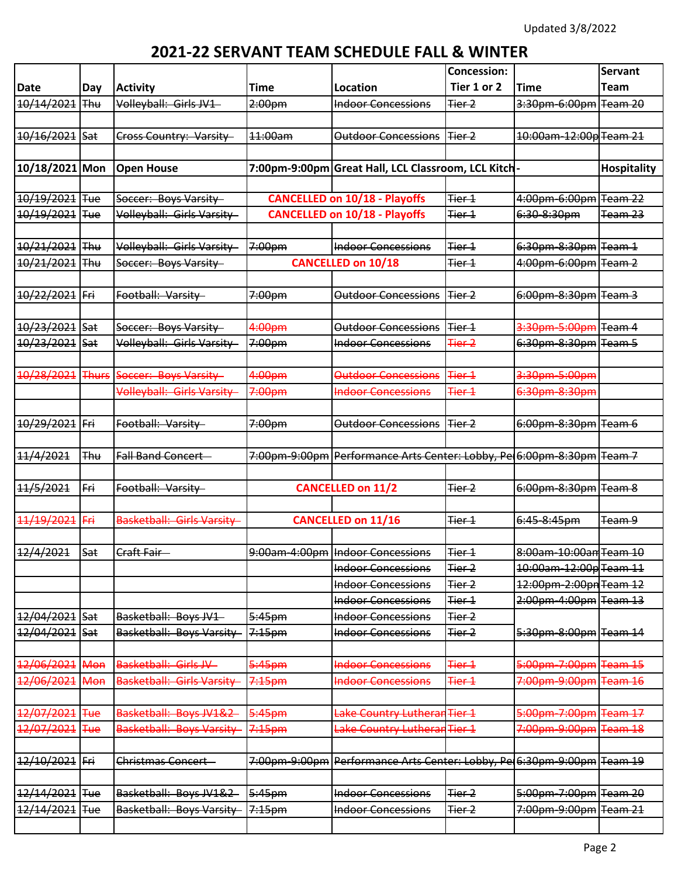|                |                 |                               |                    |                                                     | <b>Concession:</b> |                                               | <b>Servant</b>     |
|----------------|-----------------|-------------------------------|--------------------|-----------------------------------------------------|--------------------|-----------------------------------------------|--------------------|
| <b>Date</b>    | Day             | <b>Activity</b>               | <b>Time</b>        | Location                                            | Tier 1 or 2        | Time                                          | <b>Team</b>        |
| 10/14/2021     | Thu             | Volleyball: Girls JV1         | 2:00 <sub>pm</sub> | <b>Indoor Concessions</b>                           | Tier 2             | 3:30pm-6:00pm                                 | Team 20            |
|                |                 |                               |                    |                                                     |                    |                                               |                    |
| 10/16/2021 Sat |                 | <b>Cross Country: Varsity</b> | $ 44:00$ am        | <b>Outdoor Concessions</b>                          | Tier <sub>2</sub>  | 10:00am-12:00p Team 21                        |                    |
| 10/18/2021 Mon |                 | <b>Open House</b>             |                    | 7:00pm-9:00pm Great Hall, LCL Classroom, LCL Kitch- |                    |                                               | <b>Hospitality</b> |
|                |                 |                               |                    |                                                     |                    |                                               |                    |
| 10/19/2021     | $  \text{True}$ | Soccer: Boys Varsity          |                    | <b>CANCELLED on 10/18 - Playoffs</b>                | Tier <sub>1</sub>  | 4:00pm-6:00pm Team 22                         |                    |
| 10/19/2021     | Tue             | Volleyball: Girls Varsity     |                    | <b>CANCELLED on 10/18 - Playoffs</b>                | Tier 1             | 6:30-8:30pm                                   | Team 23            |
| 10/21/2021     | <b>Thu</b>      | Volleyball: Girls Varsity     | 7:00pm             | <b>Indoor Concessions</b>                           | Tier 1             | 6:30pm-8:30pm                                 | Team 1             |
| 10/21/2021     | <b>Thu</b>      | Soccer: Boys Varsity          |                    | <b>CANCELLED on 10/18</b>                           | Tier <sub>1</sub>  | 4:00pm-6:00pm                                 | Team 2             |
|                |                 |                               |                    |                                                     |                    |                                               |                    |
| 10/22/2021 Fri |                 | Football: Varsity             | 7:00pm             | <b>Outdoor Concessions</b>                          | Tier <sub>2</sub>  | 6:00pm-8:30pm Team 3                          |                    |
| 10/23/2021     | Sat             | Soccer: Boys Varsity          | 4:00pm             | <b>Outdoor Concessions</b>                          | Tier <sub>1</sub>  | 3:30pm-5:00pn                                 | Team 4             |
| 10/23/2021     | Sat             | Volleyball: Girls Varsity     | 7:00pm             | <b>Indoor Concessions</b>                           | Tier <sub>2</sub>  | 6:30pm-8:30pm                                 | Team 5             |
|                |                 |                               |                    |                                                     |                    |                                               |                    |
| 10/28/2021     | <b>Thurs</b>    | Soccer: Boys Varsity          | 4:00pm             | <b>Outdoor Concessions</b>                          | Tier 1             | <del>3:30pm-5:00pm</del>                      |                    |
|                |                 | Volleyball: Girls Varsity     | 7:00pm             | <b>Indoor Concessions</b>                           | <del>Tier 1</del>  | 6:30pm <mark>-8:30p</mark> m                  |                    |
|                |                 |                               |                    |                                                     |                    |                                               |                    |
| 10/29/2021     | Fri             | Football: Varsity             | 7:00 <sub>pm</sub> | <b>Outdoor Concessions</b>                          | $Fier-2$           | 6:00pm-8:30pm                                 | Team 6             |
|                |                 | <b>Fall Band Concert</b>      |                    |                                                     |                    |                                               |                    |
| 11/4/2021      | Thu             |                               | 7:00pm-9:00pm      | Performance Arts Center: Lobby, Pe 6:00pm-8:30pm    |                    |                                               | Team <sub>7</sub>  |
| 11/5/2021      | Fri             | Football: Varsity             |                    | <b>CANCELLED on 11/2</b>                            | Tier <sub>2</sub>  | 6:00pm-8:30pm Team 8                          |                    |
|                |                 |                               |                    |                                                     |                    |                                               |                    |
| 11/19/2021     | Fri             | Basketball: Girls Varsity     |                    | <b>CANCELLED on 11/16</b>                           | Tier 1             | 6:45-8:45pm                                   | Team 9             |
|                |                 |                               |                    |                                                     |                    |                                               |                    |
| 12/4/2021      | Sat             | Craft Fair                    |                    | 9:00am-4:00pm   Indoor Concessions                  | <b>Tier 1</b>      | 8:00am-10:00an Team 10                        |                    |
|                |                 |                               |                    | <b>Indoor Concessions</b>                           | Tier <sub>2</sub>  | <del>10:00am-12:00p</del> Team 11             |                    |
|                |                 |                               |                    | <b>Indoor Concessions</b>                           | Tier <sub>2</sub>  | 12:00pm-2:00pn Team 12                        |                    |
|                |                 |                               |                    | <b>Indoor Concessions</b>                           | Tier 1             | <del>2:00pm-4:00pm</del>   <del>Team 13</del> |                    |
| 12/04/2021     | Sat             | Basketball: Boys JV1          | 5:45pm             | <b>Indoor Concessions</b>                           | Tier <sub>2</sub>  |                                               |                    |
| 12/04/2021     | Sat             | Basketball: Boys Varsity      | 7:15 <sub>pm</sub> | <b>Indoor Concessions</b>                           | Tier <sub>2</sub>  | 5:30pm-8:00pm Team 14                         |                    |
| 12/06/2021     | Mon             | Basketball: Girls JV          | 5:45pm             | <b>Indoor Concessions</b>                           | Tier 1             | 5:00pm-7:00pm                                 | Team 15            |
| 12/06/2021     | <b>Mon</b>      | Basketball: Girls Varsity     | $7:15$ pm          | <b>Indoor Concessions</b>                           | Tier 1             | 7:00pm-9:00pm                                 | Team 16            |
|                |                 |                               |                    |                                                     |                    |                                               |                    |
| 12/07/2021     | <b>Tue</b>      | Basketball: Boys JV1&2        | 5:45pm             | Lake Country Lutheran Tier 1                        |                    | <br>00pm-7:00pm;                              | Team 17            |
| 12/07/2021     | <b>Tue</b>      | Basketball: Boys Varsity      | $7:15$ pm          | Lake Country Lutheran Tier 1                        |                    | 7:00pm-9:00pm                                 | Team 18            |
|                |                 |                               |                    |                                                     |                    |                                               |                    |
| 12/10/2021 Fri |                 | Christmas Concert             | -<br>7:00pm-9:00pm | Performance Arts Center: Lobby, Pel 6:30pm-9:00pm   |                    |                                               | Team 19            |
| 12/14/2021 Tue |                 | Basketball: Boys JV1&2        | 5:45pm             | <b>Indoor Concessions</b>                           | $Fier-2$           | 5:00pm-7:00pm Team 20                         |                    |
| 12/14/2021 Tue |                 | Basketball: Boys Varsity      | 7:15 <sub>pm</sub> | <b>Indoor Concessions</b>                           | Tier <sub>2</sub>  | 7:00pm-9:00pm Team 21                         |                    |
|                |                 |                               |                    |                                                     |                    |                                               |                    |
|                |                 |                               |                    |                                                     |                    |                                               |                    |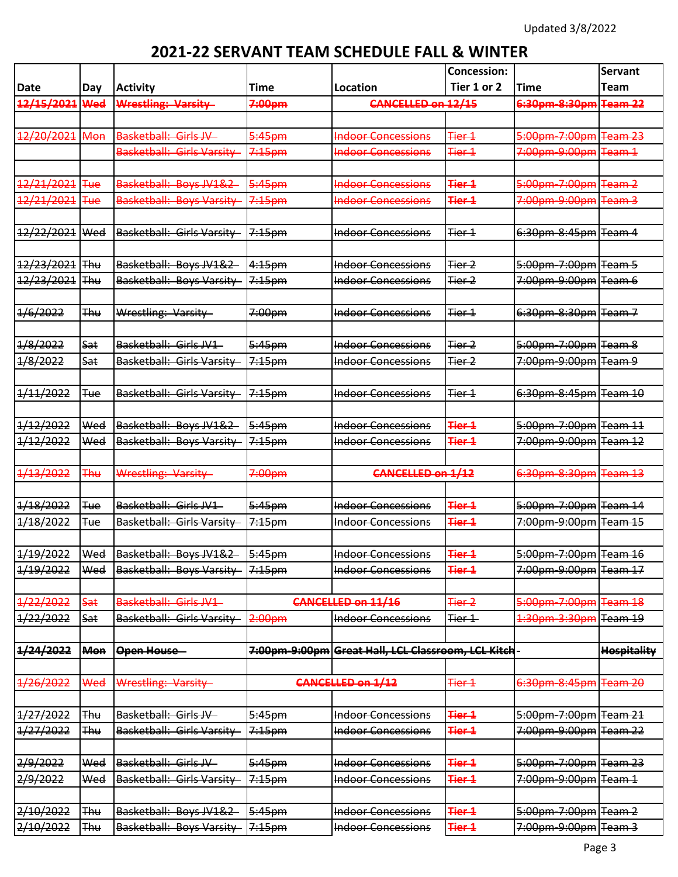|                                                                                                                                                       |                                                                                         |                                                                                                                                                                                                                                                                                     |                                                                                                                                    |                                                                                                                                                                                                                                                                  | <b>Concession:</b>                                                                                                                    |                                                                                                                                                                                                                                                                                             | <b>Servant</b>                |
|-------------------------------------------------------------------------------------------------------------------------------------------------------|-----------------------------------------------------------------------------------------|-------------------------------------------------------------------------------------------------------------------------------------------------------------------------------------------------------------------------------------------------------------------------------------|------------------------------------------------------------------------------------------------------------------------------------|------------------------------------------------------------------------------------------------------------------------------------------------------------------------------------------------------------------------------------------------------------------|---------------------------------------------------------------------------------------------------------------------------------------|---------------------------------------------------------------------------------------------------------------------------------------------------------------------------------------------------------------------------------------------------------------------------------------------|-------------------------------|
| Date                                                                                                                                                  | Day                                                                                     | <b>Activity</b>                                                                                                                                                                                                                                                                     | Time                                                                                                                               | Location                                                                                                                                                                                                                                                         | Tier 1 or 2                                                                                                                           | <b>Time</b>                                                                                                                                                                                                                                                                                 | <b>Team</b>                   |
| 12/15/2021                                                                                                                                            | Wed                                                                                     | Wrestling: Varsity                                                                                                                                                                                                                                                                  | 7:00pm                                                                                                                             | <b>CANCELLED on 12/15</b>                                                                                                                                                                                                                                        |                                                                                                                                       | 6:30pm-8:30pm                                                                                                                                                                                                                                                                               | Team 22                       |
|                                                                                                                                                       |                                                                                         |                                                                                                                                                                                                                                                                                     |                                                                                                                                    |                                                                                                                                                                                                                                                                  |                                                                                                                                       |                                                                                                                                                                                                                                                                                             |                               |
| 12/20/2021 Mon                                                                                                                                        |                                                                                         | Basketball: Girls JV                                                                                                                                                                                                                                                                | 5:45pm                                                                                                                             | <b>Indoor Concessions</b>                                                                                                                                                                                                                                        | Tier 1                                                                                                                                |                                                                                                                                                                                                                                                                                             |                               |
|                                                                                                                                                       |                                                                                         | Basketball: Girls Varsity                                                                                                                                                                                                                                                           | $7:15$ pm                                                                                                                          | <b>Indoor Concessions</b>                                                                                                                                                                                                                                        | Tier 1                                                                                                                                | 7:00pm-9:00pm Team 1                                                                                                                                                                                                                                                                        |                               |
|                                                                                                                                                       |                                                                                         |                                                                                                                                                                                                                                                                                     |                                                                                                                                    |                                                                                                                                                                                                                                                                  |                                                                                                                                       |                                                                                                                                                                                                                                                                                             |                               |
| 12/21/2021 Tue                                                                                                                                        |                                                                                         | Basketball: Boys JV1&2                                                                                                                                                                                                                                                              | 5:45pm                                                                                                                             | <b>Indoor Concessions</b>                                                                                                                                                                                                                                        | <b>Tier 1</b>                                                                                                                         | 5:00pm-7:00pm Team 2                                                                                                                                                                                                                                                                        |                               |
| 12/21/2021 Tue                                                                                                                                        |                                                                                         | <b>Basketball: Boys Varsity</b>                                                                                                                                                                                                                                                     | 7:15pm                                                                                                                             | <b>Indoor Concessions</b>                                                                                                                                                                                                                                        | Tier 1                                                                                                                                | 7:00pm-9:00pm Team 3                                                                                                                                                                                                                                                                        |                               |
|                                                                                                                                                       |                                                                                         |                                                                                                                                                                                                                                                                                     |                                                                                                                                    |                                                                                                                                                                                                                                                                  |                                                                                                                                       |                                                                                                                                                                                                                                                                                             |                               |
| 12/22/2021                                                                                                                                            | Wed                                                                                     | Basketball: Girls Varsity                                                                                                                                                                                                                                                           | 7:15pm                                                                                                                             | <b>Indoor Concessions</b>                                                                                                                                                                                                                                        | $\rceil$ Tier 1                                                                                                                       | 6:30pm-8:45pm Team 4                                                                                                                                                                                                                                                                        |                               |
|                                                                                                                                                       |                                                                                         |                                                                                                                                                                                                                                                                                     |                                                                                                                                    |                                                                                                                                                                                                                                                                  |                                                                                                                                       |                                                                                                                                                                                                                                                                                             |                               |
| 12/23/2021 Thu                                                                                                                                        |                                                                                         | Basketball: Boys JV1&2                                                                                                                                                                                                                                                              | 4:15 <sub>pm</sub>                                                                                                                 | <b>Indoor Concessions</b>                                                                                                                                                                                                                                        | Tier <sub>2</sub>                                                                                                                     | 5:00pm-7:00pm Team 5                                                                                                                                                                                                                                                                        |                               |
| 12/23/2021                                                                                                                                            | <b>Thu</b>                                                                              | Basketball: Boys Varsity                                                                                                                                                                                                                                                            | $7:15$ pm                                                                                                                          | <b>Indoor Concessions</b>                                                                                                                                                                                                                                        | Tier <sub>2</sub>                                                                                                                     | 7:00pm-9:00pm Team 6                                                                                                                                                                                                                                                                        |                               |
| 1/6/2022                                                                                                                                              | <b>Thu</b>                                                                              | Wrestling: Varsity                                                                                                                                                                                                                                                                  | 7:00pm                                                                                                                             | <b>Indoor Concessions</b>                                                                                                                                                                                                                                        | <b>Tier 1</b>                                                                                                                         | 6:30pm-8:30pm Team 7                                                                                                                                                                                                                                                                        |                               |
|                                                                                                                                                       |                                                                                         |                                                                                                                                                                                                                                                                                     |                                                                                                                                    |                                                                                                                                                                                                                                                                  |                                                                                                                                       |                                                                                                                                                                                                                                                                                             |                               |
| 1/8/2022                                                                                                                                              | Sat                                                                                     | Basketball: Girls JV1                                                                                                                                                                                                                                                               | 5:45pm                                                                                                                             | <b>Indoor Concessions</b>                                                                                                                                                                                                                                        | Tier <sub>2</sub>                                                                                                                     | 5:00pm-7:00pm Team 8                                                                                                                                                                                                                                                                        |                               |
|                                                                                                                                                       | Sat                                                                                     | Basketball: Girls Varsity                                                                                                                                                                                                                                                           |                                                                                                                                    | <b>Indoor Concessions</b>                                                                                                                                                                                                                                        |                                                                                                                                       | 7:00pm-9:00pm Team 9                                                                                                                                                                                                                                                                        |                               |
|                                                                                                                                                       |                                                                                         |                                                                                                                                                                                                                                                                                     |                                                                                                                                    |                                                                                                                                                                                                                                                                  |                                                                                                                                       |                                                                                                                                                                                                                                                                                             |                               |
|                                                                                                                                                       |                                                                                         |                                                                                                                                                                                                                                                                                     |                                                                                                                                    |                                                                                                                                                                                                                                                                  |                                                                                                                                       |                                                                                                                                                                                                                                                                                             |                               |
|                                                                                                                                                       |                                                                                         |                                                                                                                                                                                                                                                                                     |                                                                                                                                    |                                                                                                                                                                                                                                                                  |                                                                                                                                       |                                                                                                                                                                                                                                                                                             |                               |
| 1/12/2022                                                                                                                                             | Wed                                                                                     | Basketball: Boys JV1&2                                                                                                                                                                                                                                                              | 5:45pm                                                                                                                             | <b>Indoor Concessions</b>                                                                                                                                                                                                                                        | <b>Tier 1</b>                                                                                                                         | 5:00pm-7:00pm Team 11                                                                                                                                                                                                                                                                       |                               |
| 1/12/2022                                                                                                                                             | Wed                                                                                     | Basketball: Boys Varsity                                                                                                                                                                                                                                                            |                                                                                                                                    | <b>Indoor Concessions</b>                                                                                                                                                                                                                                        | <b>Tier 1</b>                                                                                                                         | 7:00pm-9:00pm Team 12                                                                                                                                                                                                                                                                       |                               |
|                                                                                                                                                       |                                                                                         |                                                                                                                                                                                                                                                                                     |                                                                                                                                    |                                                                                                                                                                                                                                                                  |                                                                                                                                       |                                                                                                                                                                                                                                                                                             |                               |
| 1/13/2022                                                                                                                                             | <b>Thu</b>                                                                              | Wrestling: Varsity                                                                                                                                                                                                                                                                  | 7:00pm                                                                                                                             | <b>CANCELLED on 1/12</b>                                                                                                                                                                                                                                         |                                                                                                                                       | 6:30pm-8:30pm                                                                                                                                                                                                                                                                               | Team 13                       |
|                                                                                                                                                       |                                                                                         |                                                                                                                                                                                                                                                                                     |                                                                                                                                    |                                                                                                                                                                                                                                                                  |                                                                                                                                       |                                                                                                                                                                                                                                                                                             |                               |
| 1/18/2022                                                                                                                                             | <b>Tue</b>                                                                              | Basketball: Girls JV1                                                                                                                                                                                                                                                               | 5:45 <sub>pm</sub>                                                                                                                 | <b>Indoor Concessions</b>                                                                                                                                                                                                                                        | <b>Tier 1</b>                                                                                                                         | 5:00pm-7:00pm Team 14                                                                                                                                                                                                                                                                       |                               |
| 1/18/2022                                                                                                                                             | <b>Tue</b>                                                                              | Basketball: Girls Varsity                                                                                                                                                                                                                                                           | $7:15$ pm                                                                                                                          | <b>Indoor Concessions</b>                                                                                                                                                                                                                                        | Tier 1                                                                                                                                |                                                                                                                                                                                                                                                                                             |                               |
|                                                                                                                                                       |                                                                                         |                                                                                                                                                                                                                                                                                     |                                                                                                                                    |                                                                                                                                                                                                                                                                  |                                                                                                                                       |                                                                                                                                                                                                                                                                                             |                               |
|                                                                                                                                                       |                                                                                         |                                                                                                                                                                                                                                                                                     |                                                                                                                                    | <b>Indoor Concessions</b>                                                                                                                                                                                                                                        |                                                                                                                                       |                                                                                                                                                                                                                                                                                             |                               |
|                                                                                                                                                       |                                                                                         |                                                                                                                                                                                                                                                                                     |                                                                                                                                    |                                                                                                                                                                                                                                                                  |                                                                                                                                       |                                                                                                                                                                                                                                                                                             |                               |
|                                                                                                                                                       |                                                                                         |                                                                                                                                                                                                                                                                                     |                                                                                                                                    |                                                                                                                                                                                                                                                                  |                                                                                                                                       |                                                                                                                                                                                                                                                                                             |                               |
|                                                                                                                                                       |                                                                                         |                                                                                                                                                                                                                                                                                     |                                                                                                                                    |                                                                                                                                                                                                                                                                  |                                                                                                                                       |                                                                                                                                                                                                                                                                                             |                               |
|                                                                                                                                                       |                                                                                         |                                                                                                                                                                                                                                                                                     |                                                                                                                                    |                                                                                                                                                                                                                                                                  |                                                                                                                                       |                                                                                                                                                                                                                                                                                             |                               |
|                                                                                                                                                       |                                                                                         |                                                                                                                                                                                                                                                                                     |                                                                                                                                    |                                                                                                                                                                                                                                                                  |                                                                                                                                       |                                                                                                                                                                                                                                                                                             |                               |
|                                                                                                                                                       |                                                                                         |                                                                                                                                                                                                                                                                                     | 7:00pm-9:00pm Great Hall, LCL Classroom, LCL Kitch-                                                                                |                                                                                                                                                                                                                                                                  |                                                                                                                                       |                                                                                                                                                                                                                                                                                             |                               |
|                                                                                                                                                       |                                                                                         |                                                                                                                                                                                                                                                                                     |                                                                                                                                    |                                                                                                                                                                                                                                                                  |                                                                                                                                       |                                                                                                                                                                                                                                                                                             |                               |
|                                                                                                                                                       |                                                                                         |                                                                                                                                                                                                                                                                                     |                                                                                                                                    |                                                                                                                                                                                                                                                                  |                                                                                                                                       |                                                                                                                                                                                                                                                                                             |                               |
|                                                                                                                                                       |                                                                                         |                                                                                                                                                                                                                                                                                     |                                                                                                                                    |                                                                                                                                                                                                                                                                  |                                                                                                                                       |                                                                                                                                                                                                                                                                                             |                               |
|                                                                                                                                                       |                                                                                         |                                                                                                                                                                                                                                                                                     |                                                                                                                                    |                                                                                                                                                                                                                                                                  |                                                                                                                                       |                                                                                                                                                                                                                                                                                             |                               |
|                                                                                                                                                       |                                                                                         |                                                                                                                                                                                                                                                                                     |                                                                                                                                    |                                                                                                                                                                                                                                                                  |                                                                                                                                       |                                                                                                                                                                                                                                                                                             |                               |
|                                                                                                                                                       |                                                                                         |                                                                                                                                                                                                                                                                                     |                                                                                                                                    |                                                                                                                                                                                                                                                                  |                                                                                                                                       |                                                                                                                                                                                                                                                                                             |                               |
|                                                                                                                                                       |                                                                                         |                                                                                                                                                                                                                                                                                     |                                                                                                                                    |                                                                                                                                                                                                                                                                  |                                                                                                                                       |                                                                                                                                                                                                                                                                                             |                               |
|                                                                                                                                                       |                                                                                         |                                                                                                                                                                                                                                                                                     |                                                                                                                                    |                                                                                                                                                                                                                                                                  |                                                                                                                                       |                                                                                                                                                                                                                                                                                             |                               |
| 2/10/2022                                                                                                                                             | <b>Thu</b>                                                                              | Basketball: Boys JV1&2                                                                                                                                                                                                                                                              | 5:45pm                                                                                                                             | <b>Indoor Concessions</b>                                                                                                                                                                                                                                        | Tier 1                                                                                                                                | 5:00pm-7:00pm Team 2                                                                                                                                                                                                                                                                        |                               |
| 2/10/2022                                                                                                                                             | <b>Thu</b>                                                                              | Basketball: Boys Varsity                                                                                                                                                                                                                                                            | 7:15pm                                                                                                                             | <b>Indoor Concessions</b>                                                                                                                                                                                                                                        | Tier 1                                                                                                                                | 7:00pm-9:00pm Team 3                                                                                                                                                                                                                                                                        |                               |
| 1/8/2022<br>1/11/2022<br>1/19/2022<br>1/19/2022<br>1/22/2022<br>1/22/2022<br>1/24/2022<br>1/26/2022<br>1/27/2022<br>1/27/2022<br>2/9/2022<br>2/9/2022 | <b>Tue</b><br>Wed<br>Wed<br>Sat<br>Sat<br>Mon<br>Wed<br>Thu<br><b>Thu</b><br>Wed<br>Wed | Basketball: Girls Varsity<br>Basketball: Boys JV1&2<br>Basketball: Boys Varsity<br>Basketball: Girls JV1<br>Basketball: Girls Varsity<br>Open House<br>Wrestling: Varsity<br>Basketball: Girls JV<br>Basketball: Girls Varsity<br>Basketball: Girls JV<br>Basketball: Girls Varsity | $7:15$ pm<br>7:15pm<br>$7:15$ pm<br>l5:45pm<br>$7:15$ pm<br>2:00pm<br>5:45 <sub>pm</sub><br>7:15pm<br>5:45pm<br>7:15 <sub>pm</sub> | <b>Indoor Concessions</b><br><b>Indoor Concessions</b><br><b>CANCELLED on 11/16</b><br><b>Indoor Concessions</b><br><b>CANCELLED on 1/12</b><br><b>Indoor Concessions</b><br><b>Indoor Concessions</b><br><b>Indoor Concessions</b><br><b>Indoor Concessions</b> | l <del>Tier 2</del><br><b>Tier 1</b><br><b>Tier 1</b><br>Tier 1<br>Tier 2<br>Tier 1<br>Tier 1<br>Tier 1<br>Tier 1<br>Tier 1<br>Tier 1 | 6:30pm-8:45pm Team 10<br>7:00pm-9:00pm Team 15<br>5:00pm-7:00pm Team 16<br>7:00pm-9:00pm Team 17<br>5:00pm-7:00pm Team 18<br>6:30pm-8:45pm<br><del>5:00pm-7:00pm</del>   <del>Team 21</del><br><del>7:00pm-9:00pm</del> Team 22<br><del>5:00pm-7:00pm</del> Team 23<br>7:00pm-9:00pm Team 1 | <b>Hospitality</b><br>Team 20 |